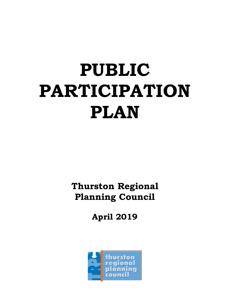# **PUBLIC PARTICIPATION PLAN**

**Thurston Regional Planning Council** 

**April 2019** 

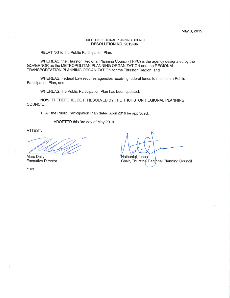#### THURSTON REGIONAL PLANNING COUNCIL RESOLUTION NO. 2019-06

RELATING to the Public Participation Plan.

WHEREAS, the Thurston Regional Planning Council (TRPC) is the agency designated by the GOVERNOR as the METROPOLITAN PLANNING ORGANIZATION and the REGIONAL TRANSPORTATION PLANNING ORGANIZATION for the Thurston Region; and

WHEREAS, Federal Law requires agencies receiving federal funds to maintain a Public Participation Plan, and

WHEREAS, the Public Participation Plan has been updated.

NOW, THEREFORE, BE IT RESOLVED BY THE THURSTON REGIONAL PLANNING COUNCIL:

THAT the Public Participation Plan dated April 2019 be approved.

ADOPTED this 3rd day of May 2019.

ATTEST:

Marc Daily **Executive Director** 

 $71:$ bm

Nathaniel Jones

Chair, Thurston Regional Planning Council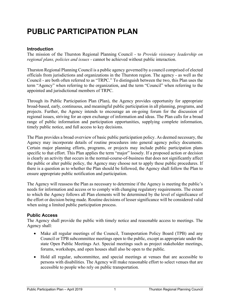## **PUBLIC PARTICIPATION PLAN**

#### **Introduction**

The mission of the Thurston Regional Planning Council - to *Provide visionary leadership on regional plans, policies and issues* - cannot be achieved without public interaction.

Thurston Regional Planning Council is a public agency governed by a council comprised of elected officials from jurisdictions and organizations in the Thurston region. The agency - as well as the Council - are both often referred to as "TRPC." To distinguish between the two, this Plan uses the term "Agency" when referring to the organization, and the term "Council" when referring to the appointed and jurisdictional members of TRPC.

Through its Public Participation Plan (Plan), the Agency provides opportunity for appropriate broad-based, early, continuous, and meaningful public participation in all planning, programs, and projects. Further, the Agency intends to encourage an on-going forum for the discussion of regional issues, striving for an open exchange of information and ideas. The Plan calls for a broad range of public information and participation opportunities, supplying complete information, timely public notice, and full access to key decisions.

The Plan provides a broad overview of basic public participation policy. As deemed necessary, the Agency may incorporate details of routine procedures into general agency policy documents. Certain major planning efforts, programs, or projects may include public participation plans specific to that effort. This Plan applies the term "major" loosely. If a proposed action or decision is clearly an activity that occurs in the normal-course-of-business that does not significantly affect the public or alter public policy, the Agency may choose not to apply these public procedures. If there is a question as to whether the Plan should be followed, the Agency shall follow the Plan to ensure appropriate public notification and participation.

The Agency will reassess the Plan as necessary to determine if the Agency is meeting the public's needs for information and access or to comply with changing regulatory requirements. The extent to which the Agency follows all Plan elements will be determined by the level of significance of the effort or decision being made. Routine decisions of lesser significance will be considered valid when using a limited public participation process.

#### **Public Access**

The Agency shall provide the public with timely notice and reasonable access to meetings. The Agency shall:

- Make all regular meetings of the Council, Transportation Policy Board (TPB) and any Council or TPB subcommittee meetings open to the public, except as appropriate under the state Open Public Meetings Act. Special meetings such as project stakeholder meetings, forums, workshops, and open houses shall also be open to the public.
- Hold all regular, subcommittee, and special meetings at venues that are accessible to persons with disabilities. The Agency will make reasonable effort to select venues that are accessible to people who rely on public transportation.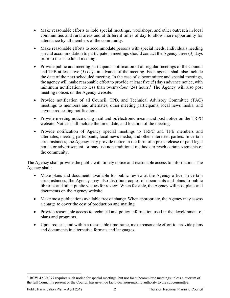- Make reasonable efforts to hold special meetings, workshops, and other outreach in local communities and rural areas and at different times of day to allow more opportunity for attendance by all members of the community.
- Make reasonable efforts to accommodate persons with special needs. Individuals needing special accommodation to participate in meetings should contact the Agency three (3) days prior to the scheduled meeting.
- Provide public and meeting participants notification of all regular meetings of the Council and TPB at least five (5) days in advance of the meeting. Each agenda shall also include the date of the next scheduled meeting. In the case of subcommittee and special meetings, the agency will make reasonable effort to provide at least five (5) days advance notice, with minimum notification no less than twenty-four  $(24)$  hours.<sup>1</sup> The Agency will also post meeting notices on the Agency website.
- Provide notification of all Council, TPB, and Technical Advisory Committee (TAC) meetings to members and alternates, other meeting participants, local news media, and anyone requesting notification.
- Provide meeting notice using mail and or/electronic means and post notice on the TRPC website. Notice shall include the time, date, and location of the meeting.
- Provide notification of Agency special meetings to TRPC and TPB members and alternates, meeting participants, local news media, and other interested parties. In certain circumstances, the Agency may provide notice in the form of a press release or paid legal notice or advertisement, or may use non-traditional methods to reach certain segments of the community.

The Agency shall provide the public with timely notice and reasonable access to information. The Agency shall:

- Make plans and documents available for public review at the Agency office. In certain circumstances, the Agency may also distribute copies of documents and plans to public libraries and other public venues for review. When feasible, the Agency will post plans and documents on the Agency website.
- Make most publications available free of charge. When appropriate, the Agency may assess a charge to cover the cost of production and mailing.
- Provide reasonable access to technical and policy information used in the development of plans and programs.
- Upon request, and within a reasonable timeframe, make reasonable effort to provide plans and documents in alternative formats and languages.

-

<sup>1</sup> RCW 42.30.077 requires such notice for special meetings, but not for subcommittee meetings unless a quorum of the full Council is present or the Council has given de facto decision-making authority to the subcommittee.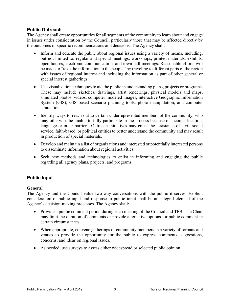#### **Public Outreach**

The Agency shall create opportunities for all segments of the community to learn about and engage in issues under consideration by the Council, particularly those that may be affected directly by the outcomes of specific recommendations and decisions. The Agency shall:

- Inform and educate the public about regional issues using a variety of means, including, but not limited to: regular and special meetings, workshops, printed materials, exhibits, open houses, electronic communication, and town hall meetings. Reasonable efforts will be made to "take the information to the people" by traveling to different parts of the region with issues of regional interest and including the information as part of other general or special interest gatherings.
- Use visualization techniques to aid the public in understanding plans, projects or programs. These may include sketches, drawings, artist renderings, physical models and maps, simulated photos, videos, computer modeled images, interactive Geographic Information System (GIS), GIS based scenario planning tools, photo manipulation, and computer simulation.
- Identify ways to reach out to certain underrepresented members of the community, who may otherwise be unable to fully participate in the process because of income, location, language or other barriers. Outreach initiatives may enlist the assistance of civil, social service, faith-based, or political entities to better understand the community and may result in production of special materials.
- Develop and maintain a list of organizations and interested or potentially interested persons to disseminate information about regional activities.
- Seek new methods and technologies to enlist in informing and engaging the public regarding all agency plans, projects, and programs.

### **Public Input**

#### **General**

The Agency and the Council value two-way conversations with the public it serves. Explicit consideration of public input and response to public input shall be an integral element of the Agency's decision-making processes. The Agency shall:

- Provide a public comment period during each meeting of the Council and TPB. The Chair may limit the duration of comments or provide alternative options for public comment in certain circumstances.
- When appropriate, convene gatherings of community members in a variety of formats and venues to provide the opportunity for the public to express comments, suggestions, concerns, and ideas on regional issues.
- As needed, use surveys to assess either widespread or selected public opinion.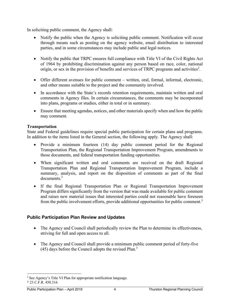In soliciting public comment, the Agency shall:

- Notify the public when the Agency is soliciting public comment. Notification will occur through means such as posting on the agency website, email distribution to interested parties, and in some circumstances may include public and legal notices.
- Notify the public that TRPC ensures full compliance with Title VI of the Civil Rights Act of 1964 by prohibiting discrimination against any person based on race, color, national origin, or sex in the provision of benefits and services of TRPC programs and activities<sup>2</sup>.
- Offer different avenues for public comment written, oral, formal, informal, electronic, and other means suitable to the project and the community involved.
- In accordance with the State's records retention requirements, maintain written and oral comments in Agency files. In certain circumstances, the comments may be incorporated into plans, programs or studies, either in total or in summary.
- Ensure that meeting agendas, notices, and other materials specify when and how the public may comment.

#### **Transportation**

State and Federal guidelines require special public participation for certain plans and programs. In addition to the items listed in the General section, the following apply. The Agency shall:

- Provide a minimum fourteen (14) day public comment period for the Regional Transportation Plan, the Regional Transportation Improvement Program, amendments to those documents, and federal transportation funding opportunities.
- When significant written and oral comments are received on the draft Regional Transportation Plan and Regional Transportation Improvement Program, include a summary, analysis, and report on the disposition of comments as part of the final documents.<sup>3</sup>
- If the final Regional Transportation Plan or Regional Transportation Improvement Program differs significantly from the version that was made available for public comment and raises new material issues that interested parties could not reasonable have foreseen from the public involvement efforts, provide additional opportunities for public comment.<sup>3</sup>

### **Public Participation Plan Review and Updates**

- The Agency and Council shall periodically review the Plan to determine its effectiveness, striving for full and open access to all.
- The Agency and Council shall provide a minimum public comment period of forty-five (45) days before the Council adopts the revised Plan.3

-

<sup>&</sup>lt;sup>2</sup> See Agency's Title VI Plan for appropriate notification language. <sup>3</sup> 23 C.F.R. 450.316